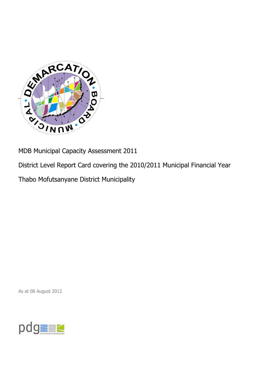

MDB Municipal Capacity Assessment 2011

District Level Report Card covering the 2010/2011 Municipal Financial Year

Thabo Mofutsanyane District Municipality

As at 08 August 2012

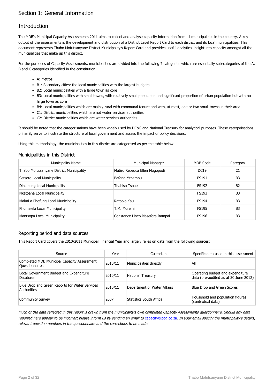## Section 1: General Information

## **Introduction**

The MDB's Municipal Capacity Assessments 2011 aims to collect and analyse capacity information from all municipalities in the country. A key output of the assessments is the development and distribution of a District Level Report Card to each district and its local municipalities. This document represents Thabo Mofutsanyane District Municipality's Report Card and provides useful analytical insight into capacity amongst all the municipalities that make up this district.

For the purposes of Capacity Assessments, municipalities are divided into the following 7 categories which are essentially sub-categories of the A, B and C categories identified in the constitution:

- A: Metros
- B1: Secondary cities: the local municipalities with the largest budgets
- B2: Local municipalities with a large town as core
- B3: Local municipalities with small towns, with relatively small population and significant proportion of urban population but with no large town as core
- B4: Local municipalities which are mainly rural with communal tenure and with, at most, one or two small towns in their area
- C1: District municipalities which are not water services authorities
- C2: District municipalities which are water services authorities

It should be noted that the categorisations have been widely used by DCoG and National Treasury for analytical purposes. These categorisations primarily serve to illustrate the structure of local government and assess the impact of policy decisions.

Using this methodology, the municipalities in this district are categorised as per the table below.

#### Municipalities in this District

| <b>Municipality Name</b>                 | Municipal Manager               | MDB Code     | Category       |
|------------------------------------------|---------------------------------|--------------|----------------|
| Thabo Mofutsanyane District Municipality | Matiro Rebecca Ellen Mogopodi   | <b>DC19</b>  | C1             |
| Setsoto Local Municipality               | Bafana Mthembu                  | <b>FS191</b> | B <sub>3</sub> |
| Dihlabeng Local Municipality             | Thabiso Tsoaeli                 | <b>FS192</b> | B <sub>2</sub> |
| Nketoana Local Municipality              |                                 | <b>FS193</b> | B <sub>3</sub> |
| Maluti a Phofung Local Municipality      | Ratoolo Kau                     | <b>FS194</b> | B <sub>3</sub> |
| Phumelela Local Municipality             | T.M. Moremi                     | <b>FS195</b> | B <sub>3</sub> |
| Mantsopa Local Municipality              | Constance Lineo Masefora Rampai | <b>FS196</b> | B <sub>3</sub> |

#### Reporting period and data sources

This Report Card covers the 2010/2011 Municipal Financial Year and largely relies on data from the following sources:

| Source                                                        | Year    | Custodian                   | Specific data used in this assessment                                     |
|---------------------------------------------------------------|---------|-----------------------------|---------------------------------------------------------------------------|
| Completed MDB Municipal Capacity Assessment<br>Questionnaires | 2010/11 | Municipalities directly     | All                                                                       |
| Local Government Budget and Expenditure<br>Database           | 2010/11 | <b>National Treasury</b>    | Operating budget and expenditure<br>data (pre-audited as at 30 June 2012) |
| Blue Drop and Green Reports for Water Services<br>Authorities | 2010/11 | Department of Water Affairs | Blue Drop and Green Scores                                                |
| <b>Community Survey</b>                                       | 2007    | Statistics South Africa     | Household and population figures<br>(contextual data)                     |

Much of the data reflected in this report is drawn from the municipality's own completed Capacity Assessments questionnaire. Should any data reported here appear to be incorrect please inform us by sending an email to [capacity@pdg.co.za](mailto:capacity@pdg.co.za). In your email specify the municipality's details, relevant question numbers in the questionnaire and the corrections to be made.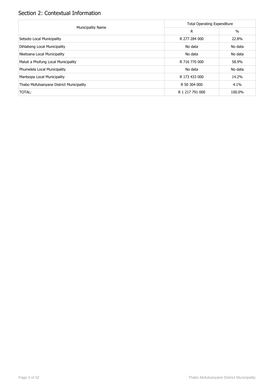## Section 2: Contextual Information

| <b>Municipality Name</b>                 | <b>Total Operating Expenditure</b> |               |
|------------------------------------------|------------------------------------|---------------|
|                                          | R                                  | $\frac{0}{0}$ |
| Setsoto Local Municipality               | R 277 284 000                      | 22.8%         |
| Dihlabeng Local Municipality             | No data                            | No data       |
| Nketoana Local Municipality              | No data                            | No data       |
| Maluti a Phofung Local Municipality      | R 716 770 000                      | 58.9%         |
| Phumelela Local Municipality             | No data                            | No data       |
| Mantsopa Local Municipality              | R 173 433 000                      | 14.2%         |
| Thabo Mofutsanyane District Municipality | R 50 304 000                       | 4.1%          |
| TOTAL:                                   | R 1 217 791 000                    | 100.0%        |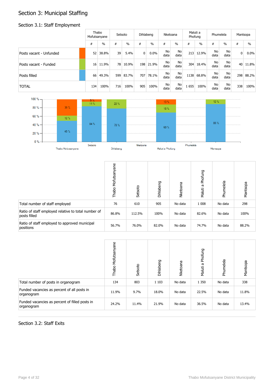## Section 3: Municipal Staffing

#### Section 3.1: Staff Employment

|                         |                 | Thabo<br>Mofutsanyane |     | Setsoto       |                | Dihlabeng |            | Nketoana   |       | Maluti a<br>Phofung |                   | Phumelela  |              | Mantsopa      |
|-------------------------|-----------------|-----------------------|-----|---------------|----------------|-----------|------------|------------|-------|---------------------|-------------------|------------|--------------|---------------|
|                         | #               | $\%$                  | #   | $\frac{0}{0}$ | #              | $\%$      | #          | $\%$       | #     | $\frac{0}{0}$       | #                 | $\%$       | #            | $\frac{0}{0}$ |
| Posts vacant - Unfunded | 52              | 38.8%                 | 39  | 5.4%          | $\overline{0}$ | $0.0\%$   | No<br>data | No<br>data | 213   | 12.9%               | <b>No</b><br>data | No<br>data | $\mathbf{0}$ | $0.0\%$       |
| Posts vacant - Funded   | 16 <sup>1</sup> | 11.9%                 | 78  | 10.9%         | 198            | 21.9%     | No<br>data | No<br>data | 304   | 18.4%               | No<br>data        | No<br>data |              | 40 11.8%      |
| Posts filled            | 66              | 49.3%                 | 599 | 83.7%         | 707            | 78.1%     | No<br>data | No<br>data | 1138  | 68.8%               | No<br>data        | No<br>data | 298          | 88.2%         |
| <b>TOTAL</b>            | 134             | 100%                  | 716 | 100%          | 905            | 100%      | No<br>data | No<br>data | . 655 | 100%                | No<br>data        | No<br>data | 338          | 100%          |



|                                                                     | Mofutsanyane<br>Thabo | Setsoto | Dihlabeng | Nketoana | Phofung<br>Б<br>Maluti | Phumelela | Mantsopa |
|---------------------------------------------------------------------|-----------------------|---------|-----------|----------|------------------------|-----------|----------|
| Total number of staff employed                                      | 76                    | 610     | 905       | No data  | 1 0 0 8                | No data   | 298      |
| Ratio of staff employed relative to total number of<br>posts filled | 86.8%                 | 112.5%  | 100%      | No data  | 82.6%                  | No data   | 100%     |
| Ratio of staff employed to approved municipal<br>positions          | 56.7%                 | 76.0%   | 82.0%     | No data  | 74.7%                  | No data   | 88.2%    |

|                                                              | Mofutsanyane<br>Thabo | Setsoto | Dihlabeng | Nketoana | Phofung<br>Maluti a | Phumelela | Mantsopa |
|--------------------------------------------------------------|-----------------------|---------|-----------|----------|---------------------|-----------|----------|
| Total number of posts in organogram                          | 134                   | 803     | 1 1 0 3   | No data  | 1 3 5 0             | No data   | 338      |
| Funded vacancies as percent of all posts in<br>organogram    | 11.9%                 | 9.7%    | 18.0%     | No data  | 22.5%               | No data   | 11.8%    |
| Funded vacancies as percent of filled posts in<br>organogram | 24.2%                 | 11.4%   | 21.9%     | No data  | 36.5%               | No data   | 13.4%    |

#### Section 3.2: Staff Exits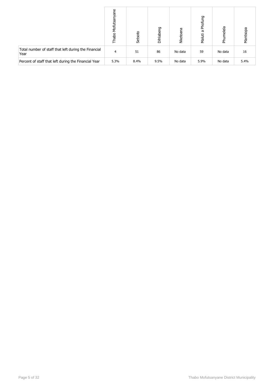|                                                              | Mofutsanyane<br>Thabo | Setsoto | Dihlabeng | Nketoana | Phofung<br>Б<br>Maluti | Phumelela | Mantsopa |
|--------------------------------------------------------------|-----------------------|---------|-----------|----------|------------------------|-----------|----------|
| Total number of staff that left during the Financial<br>Year | 4                     | 51      | 86        | No data  | 59                     | No data   | 16       |
| Percent of staff that left during the Financial Year         | 5.3%                  | 8.4%    | 9.5%      | No data  | 5.9%                   | No data   | 5.4%     |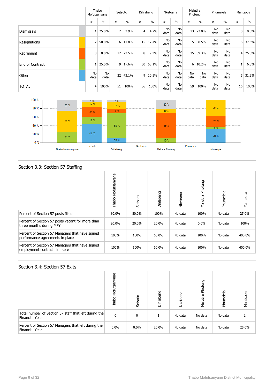|                   |            | Thabo<br>Mofutsanyane |                | Setsoto       |                | Dihlabeng |            | Nketoana          |                   | Maluti a<br>Phofung | Phumelela  |               |                | Mantsopa      |
|-------------------|------------|-----------------------|----------------|---------------|----------------|-----------|------------|-------------------|-------------------|---------------------|------------|---------------|----------------|---------------|
|                   | #          | $\frac{0}{0}$         | #              | $\frac{0}{0}$ | #              | $\%$      | #          | $\frac{0}{0}$     | #                 | $\frac{0}{0}$       | #          | $\frac{0}{0}$ | #              | $\frac{0}{0}$ |
| <b>Dismissals</b> |            | 25.0%                 | 2 <sup>1</sup> | 3.9%          | $\overline{4}$ | 4.7%      | No<br>data | No<br>data        | 13                | 22.0%               | No<br>data | No<br>data    | $\mathbf 0$    | $0.0\%$       |
| Resignations      | 2          | 50.0%                 | 6 <sup>1</sup> | 11.8%         | 15             | 17.4%     | No<br>data | No<br>data        | 5 <sup>1</sup>    | 8.5%                | No<br>data | No<br>data    | 6              | 37.5%         |
| Retirement        | 0          | 0.0%                  | 12             | 23.5%         | 8 <sup>1</sup> | 9.3%      | No<br>data | No<br>data        | 35                | 59.3%               | No<br>data | No<br>data    | $\overline{4}$ | 25.0%         |
| End of Contract   |            | 25.0%                 | 9 <sup>1</sup> | 17.6%         | 50             | 58.1%     | No<br>data | No<br>data        | 6                 | 10.2%               | No<br>data | No<br>data    | $\mathbf{1}$   | 6.3%          |
| Other             | No<br>data | No<br>data            | 22             | 43.1%         | $\overline{9}$ | 10.5%     | No<br>data | <b>No</b><br>data | <b>No</b><br>data | No<br>data          | No<br>data | No<br>data    | 5 <sup>1</sup> | 31.3%         |
| <b>TOTAL</b>      | 4          | 100%                  | 51             | 100%          | 86             | 100%      | No<br>data | No<br>data        | 59                | 100%                | No<br>data | No<br>data    | 16             | 100%          |



### Section 3.3: Section 57 Staffing

|                                                                                    | Thabo Mofutsanyane | Setsoto | Dihlabeng | Nketoana | Phofung<br>Б<br>Maluti | Phumelela | Mantsopa |
|------------------------------------------------------------------------------------|--------------------|---------|-----------|----------|------------------------|-----------|----------|
| Percent of Section 57 posts filled                                                 | 80.0%              | 80.0%   | 100%      | No data  | 100%                   | No data   | 25.0%    |
| Percent of Section 57 posts vacant for more than<br>three months during MFY        | 20.0%              | 20.0%   | 20.0%     | No data  | $0.0\%$                | No data   | 100%     |
| Percent of Section 57 Managers that have signed<br>performance agreements in place | 100%               | 100%    | 60.0%     | No data  | 100%                   | No data   | 400.0%   |
| Percent of Section 57 Managers that have signed<br>employment contracts in place   | 100%               | 100%    | 60.0%     | No data  | 100%                   | No data   | 400.0%   |

#### Section 3.4: Section 57 Exits

|                                                                         | Mofutsanyane<br>Thabo | Setsoto | Dihlabeng | Nketoana | Phofung<br>Б<br>Maluti | Phumelela | Mantsopa |
|-------------------------------------------------------------------------|-----------------------|---------|-----------|----------|------------------------|-----------|----------|
| Total number of Section 57 staff that left during the<br>Financial Year | 0                     | 0       |           | No data  | No data                | No data   |          |
| Percent of Section 57 Managers that left during the<br>Financial Year   | $0.0\%$               | $0.0\%$ | 20.0%     | No data  | No data                | No data   | 25.0%    |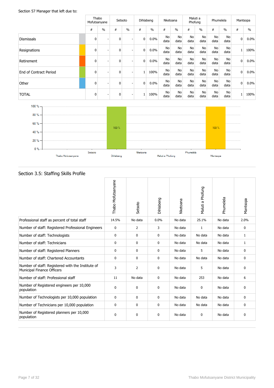#### Section 57 Manager that left due to:

|                        | Thabo<br>Mofutsanyane |               | Setsoto     |               | Dihlabeng    |               | Nketoana          |                   | Maluti a<br>Phofung |                   | Phumelela         |                   | Mantsopa     |               |
|------------------------|-----------------------|---------------|-------------|---------------|--------------|---------------|-------------------|-------------------|---------------------|-------------------|-------------------|-------------------|--------------|---------------|
|                        | #                     | $\frac{0}{0}$ | #           | $\frac{0}{0}$ | #            | $\frac{0}{0}$ | #                 | $\frac{0}{0}$     | #                   | $\frac{0}{0}$     | #                 | $\frac{0}{0}$     | #            | $\frac{0}{0}$ |
| <b>Dismissals</b>      | 0                     |               | $\mathbf 0$ |               | $\mathbf{0}$ | 0.0%          | <b>No</b><br>data | No<br>data        | <b>No</b><br>data   | <b>No</b><br>data | <b>No</b><br>data | No<br>data        | 0            | $0.0\%$       |
| Resignations           | 0                     |               | $\mathbf 0$ | ۰             | $\mathbf{0}$ | $0.0\%$       | No<br>data        | No<br>data        | No<br>data          | No<br>data        | No<br>data        | No<br>data        | $\mathbf{1}$ | 100%          |
| Retirement             | 0                     |               | $\mathbf 0$ | ۰             | $\mathbf{0}$ | 0.0%          | No<br>data        | No<br>data        | No<br>data          | No<br>data        | No<br>data        | No<br>data        | 0            | $0.0\%$       |
| End of Contract Period | $\mathbf 0$           |               | 0           | ۰             | $\mathbf{1}$ | 100%          | <b>No</b><br>data | <b>No</b><br>data | <b>No</b><br>data   | <b>No</b><br>data | <b>No</b><br>data | <b>No</b><br>data | 0            | 0.0%          |
| Other                  | $\mathbf 0$           |               | $\mathbf 0$ | ٠             | $\mathbf 0$  | 0.0%          | No<br>data        | No<br>data        | No<br>data          | No<br>data        | No<br>data        | No<br>data        | $\mathbf 0$  | 0.0%          |
| <b>TOTAL</b>           | 0                     |               | 0           | ٠             | $\mathbf{1}$ | 100%          | <b>No</b><br>data | No<br>data        | <b>No</b><br>data   | <b>No</b><br>data | <b>No</b><br>data | No<br>data        | $\mathbf{1}$ | 100%          |
| $100 \% -$             |                       |               |             |               |              |               |                   |                   |                     |                   |                   |                   |              |               |
| $80% -$                |                       |               |             |               |              |               |                   |                   |                     |                   |                   |                   |              |               |



### Section 3.5: Staffing Skills Profile

| seed.on sist seaming sidns roome                                                       |                    |                |           |          |                  |           |              |
|----------------------------------------------------------------------------------------|--------------------|----------------|-----------|----------|------------------|-----------|--------------|
|                                                                                        | Thabo Mofutsanyane | Setsoto        | Dihlabeng | Nketoana | Maluti a Phofung | Phumelela | Mantsopa     |
| Professional staff as percent of total staff                                           | 14.5%              | No data        | 0.0%      | No data  | 25.1%            | No data   | 2.0%         |
| Number of staff: Registered Professional Engineers                                     | 0                  | $\overline{2}$ | 3         | No data  | 1                | No data   | 0            |
| Number of staff: Technologists                                                         | 0                  | $\mathbf{0}$   | 0         | No data  | No data          | No data   | $\mathbf{1}$ |
| Number of staff: Technicians                                                           | 0                  | $\mathbf 0$    | 0         | No data  | No data          | No data   | $\mathbf{1}$ |
| Number of staff: Registered Planners                                                   | 0                  | 0              | 0         | No data  | 5                | No data   | 0            |
| Number of staff: Chartered Accountants                                                 | $\mathbf 0$        | $\mathbf 0$    | 0         | No data  | No data          | No data   | 0            |
| Number of staff: Registered with the Institute of<br><b>Municipal Finance Officers</b> | 3                  | $\overline{2}$ | 0         | No data  | 5                | No data   | 0            |
| Number of staff: Professional staff                                                    | 11                 | No data        | 0         | No data  | 253              | No data   | 6            |
| Number of Registered engineers per 10,000<br>population                                | $\mathbf{0}$       | $\mathbf 0$    | 0         | No data  | $\mathbf{0}$     | No data   | 0            |
| Number of Technologists per 10,000 population                                          | 0                  | $\mathbf 0$    | 0         | No data  | No data          | No data   | 0            |
| Number of Technicians per 10,000 population                                            | 0                  | 0              | 0         | No data  | No data          | No data   | 0            |
| Number of Registered planners per 10,000<br>population                                 | 0                  | $\mathbf 0$    | 0         | No data  | $\mathbf 0$      | No data   | $\mathbf 0$  |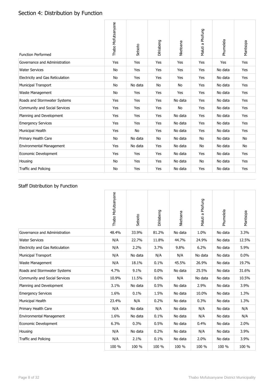# Section 4: Distribution by Function

| <b>Function Performed</b>        | Thabo Mofutsanyane | Setsoto | Dihlabeng | Nketoana  | Maluti a Phofung | Phumelela | Mantsopa  |
|----------------------------------|--------------------|---------|-----------|-----------|------------------|-----------|-----------|
| Governance and Administration    | Yes                | Yes     | Yes       | Yes       | Yes              | Yes       | Yes       |
| <b>Water Services</b>            | No                 | Yes     | Yes       | Yes       | Yes              | No data   | Yes       |
| Electricity and Gas Reticulation | No                 | Yes     | Yes       | Yes       | Yes              | No data   | Yes       |
| <b>Municipal Transport</b>       | No                 | No data | No        | No        | Yes              | No data   | Yes       |
| Waste Management                 | <b>No</b>          | Yes     | Yes       | Yes       | Yes              | No data   | Yes       |
| Roads and Stormwater Systems     | Yes                | Yes     | Yes       | No data   | Yes              | No data   | Yes       |
| Community and Social Services    | Yes                | Yes     | Yes       | <b>No</b> | Yes              | No data   | Yes       |
| Planning and Development         | Yes                | Yes     | Yes       | No data   | Yes              | No data   | Yes       |
| <b>Emergency Services</b>        | Yes                | Yes     | Yes       | No data   | Yes              | No data   | Yes       |
| Municipal Health                 | Yes                | No      | Yes       | No data   | Yes              | No data   | Yes       |
| Primary Health Care              | No                 | No data | No        | No data   | No               | No data   | <b>No</b> |
| <b>Environmental Management</b>  | Yes                | No data | Yes       | No data   | No               | No data   | No        |
| Economic Development             | Yes                | Yes     | Yes       | No data   | Yes              | No data   | Yes       |
| Housing                          | No                 | Yes     | Yes       | No data   | No               | No data   | Yes       |
| Traffic and Policing             | No                 | Yes     | Yes       | No data   | Yes              | No data   | Yes       |

## Staff Distribution by Function

|                                  | Thabo Mofutsanyane | Setsoto | Dihlabeng | Nketoana | Maluti a Phofung | Phumelela | Mantsopa |
|----------------------------------|--------------------|---------|-----------|----------|------------------|-----------|----------|
| Governance and Administration    | 48.4%              | 33.9%   | 81.2%     | No data  | 1.0%             | No data   | 3.3%     |
| <b>Water Services</b>            | N/A                | 22.7%   | 11.8%     | 44.7%    | 24.9%            | No data   | 12.5%    |
| Electricity and Gas Reticulation | N/A                | 2.2%    | 3.7%      | 9.8%     | 6.2%             | No data   | 5.9%     |
| <b>Municipal Transport</b>       | N/A                | No data | N/A       | N/A      | No data          | No data   | $0.0\%$  |
| Waste Management                 | N/A                | 18.1%   | 0.1%      | 45.5%    | 26.9%            | No data   | 19.7%    |
| Roads and Stormwater Systems     | 4.7%               | 9.1%    | 0.0%      | No data  | 25.5%            | No data   | 31.6%    |
| Community and Social Services    | 10.9%              | 11.5%   | 0.0%      | N/A      | No data          | No data   | 10.5%    |
| Planning and Development         | 3.1%               | No data | 0.5%      | No data  | 2.9%             | No data   | 3.9%     |
| <b>Emergency Services</b>        | 1.6%               | 0.1%    | 1.5%      | No data  | 10.0%            | No data   | 1.3%     |
| Municipal Health                 | 23.4%              | N/A     | 0.2%      | No data  | 0.3%             | No data   | 1.3%     |
| Primary Health Care              | N/A                | No data | N/A       | No data  | N/A              | No data   | N/A      |
| <b>Environmental Management</b>  | 1.6%               | No data | 0.1%      | No data  | N/A              | No data   | N/A      |
| Economic Development             | 6.3%               | 0.3%    | 0.5%      | No data  | 0.4%             | No data   | 2.0%     |
| Housing                          | N/A                | No data | 0.2%      | No data  | N/A              | No data   | 3.9%     |
| Traffic and Policing             | N/A                | 2.1%    | 0.1%      | No data  | 2.0%             | No data   | 3.9%     |
|                                  | 100 %              | 100 %   | 100 %     | 100 %    | 100 %            | 100 %     | 100 %    |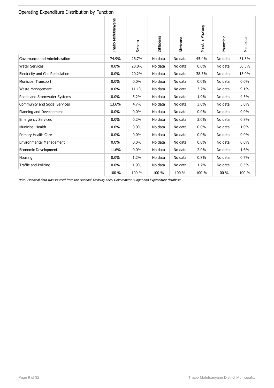#### Operating Expenditure Distribution by Function

|                                      | Thabo Mofutsanyane | Setsoto | Dihlabeng | Nketoana | Maluti a Phofung | Phumelela | Mantsopa |
|--------------------------------------|--------------------|---------|-----------|----------|------------------|-----------|----------|
| Governance and Administration        | 74.9%              | 26.7%   | No data   | No data  | 45.4%            | No data   | 31.3%    |
| <b>Water Services</b>                | 0.0%               | 28.8%   | No data   | No data  | 0.0%             | No data   | 30.5%    |
| Electricity and Gas Reticulation     | 0.0%               | 20.2%   | No data   | No data  | 38.5%            | No data   | 15.0%    |
| <b>Municipal Transport</b>           | 0.0%               | 0.0%    | No data   | No data  | 0.0%             | No data   | 0.0%     |
| Waste Management                     | 0.0%               | 11.1%   | No data   | No data  | 3.7%             | No data   | 9.1%     |
| Roads and Stormwater Systems         | 0.0%               | 5.2%    | No data   | No data  | 1.9%             | No data   | 4.5%     |
| <b>Community and Social Services</b> | 13.6%              | 4.7%    | No data   | No data  | 3.0%             | No data   | 5.0%     |
| Planning and Development             | 0.0%               | 0.0%    | No data   | No data  | 0.0%             | No data   | 0.0%     |
| <b>Emergency Services</b>            | 0.0%               | 0.2%    | No data   | No data  | 3.0%             | No data   | 0.8%     |
| Municipal Health                     | 0.0%               | 0.0%    | No data   | No data  | 0.0%             | No data   | 1.0%     |
| Primary Health Care                  | 0.0%               | 0.0%    | No data   | No data  | 0.0%             | No data   | 0.0%     |
| Environmental Management             | 0.0%               | 0.0%    | No data   | No data  | 0.0%             | No data   | 0.0%     |
| Economic Development                 | 11.6%              | 0.0%    | No data   | No data  | 2.0%             | No data   | 1.6%     |
| Housing                              | 0.0%               | 1.2%    | No data   | No data  | 0.8%             | No data   | 0.7%     |
| Traffic and Policing                 | 0.0%               | 1.9%    | No data   | No data  | 1.7%             | No data   | 0.5%     |
|                                      | 100 %              | 100 %   | 100 %     | 100 %    | 100 %            | 100 %     | 100 %    |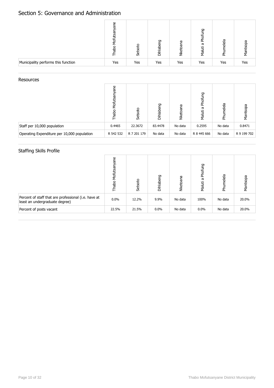## Section 5: Governance and Administration

|                                     | Φ<br>ಹ<br>ਨ੍ਹ<br>ω | Setsoto | Dihlabeng | æ<br>æ<br>τ<br>ž | Phofung<br>ā<br>Maluti | melela<br>nd<br>An | Mantsopa |
|-------------------------------------|--------------------|---------|-----------|------------------|------------------------|--------------------|----------|
| Municipality performs this function | Yes                | Yes     | Yes       | Yes              | Yes                    | Yes                | Yes      |

#### **Resources**

|                                             | ane<br>Mofutsa<br>Thabo | Setsoto     | 5<br><b>Dihlabe</b> | ē<br><b>Nketoa</b> | Phofung<br>æ<br>Maluti | Phumelela | Mantsopa    |
|---------------------------------------------|-------------------------|-------------|---------------------|--------------------|------------------------|-----------|-------------|
| Staff per 10,000 population                 | 0.4465                  | 22.3672     | 83.4478             | No data            | 0.2595                 | No data   | 0.8471      |
| Operating Expenditure per 10,000 population | R 542 532               | R 7 201 179 | No data             | No data            | R 8 445 666            | No data   | R 9 199 702 |

## Staffing Skills Profile

|                                                                                        | ane<br>Mofutsa<br>Thabo | Setsoto | Dihlabeng | Nketoana | Phofung<br>ā<br>Maluti | Phumelela | Mantsopa |
|----------------------------------------------------------------------------------------|-------------------------|---------|-----------|----------|------------------------|-----------|----------|
| Percent of staff that are professional (i.e. have at<br>least an undergraduate degree) | $0.0\%$                 | 12.2%   | 9.9%      | No data  | 100%                   | No data   | 20.0%    |
| Percent of posts vacant                                                                | 22.5%                   | 21.5%   | $0.0\%$   | No data  | $0.0\%$                | No data   | 20.0%    |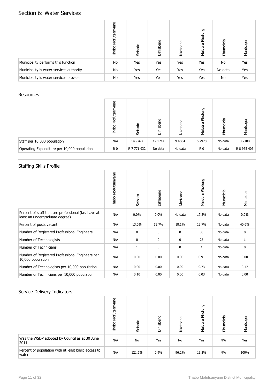## Section 6: Water Services

|                                          | Mofutsanyane<br>Thabo | Setsoto | Dihlabeng | Nketoana | Phofung<br>Maluti a | Phumelela | Mantsopa |
|------------------------------------------|-----------------------|---------|-----------|----------|---------------------|-----------|----------|
| Municipality performs this function      | No                    | Yes     | Yes       | Yes      | Yes                 | No        | Yes      |
| Municipality is water services authority | No                    | Yes     | Yes       | Yes      | Yes                 | No data   | Yes      |
| Municipality is water services provider  | No                    | Yes     | Yes       | Yes      | Yes                 | No        | Yes      |

#### **Resources**

|                                             | Φ<br>ಹ<br>Mofutsa<br>Thab<br>T | Setsoto     | 50<br>Dihlaber | ፵<br>Nketoar | Phofung<br>æ<br>Maluti | Phumelela | Mantsopa    |
|---------------------------------------------|--------------------------------|-------------|----------------|--------------|------------------------|-----------|-------------|
| Staff per 10,000 population                 | N/A                            | 14.9763     | 12.1714        | 9.4604       | 6.7978                 | No data   | 3.2188      |
| Operating Expenditure per 10,000 population | R <sub>0</sub>                 | R 7 771 932 | No data        | No data      | R <sub>0</sub>         | No data   | R 8 965 406 |

## Staffing Skills Profile

|                                                                                        | Thabo Mofutsanyane | Setsoto     | Dihlabeng | Nketoana     | Phofung<br>Maluti a | Phumelela | Mantsopa |
|----------------------------------------------------------------------------------------|--------------------|-------------|-----------|--------------|---------------------|-----------|----------|
| Percent of staff that are professional (i.e. have at<br>least an undergraduate degree) | N/A                | $0.0\%$     | 0.0%      | No data      | 17.2%               | No data   | $0.0\%$  |
| Percent of posts vacant                                                                | N/A                | 13.0%       | 53.7%     | 18.1%        | 12.7%               | No data   | 40.6%    |
| Number of Registered Professional Engineers                                            | N/A                | $\mathbf 0$ | 0         | 0            | 35                  | No data   | 0        |
| Number of Technologists                                                                | N/A                | $\mathbf 0$ | 0         | $\mathbf{0}$ | 28                  | No data   | 1        |
| Number of Technicians                                                                  | N/A                | 1           | 0         | 0            | $\mathbf{1}$        | No data   | 0        |
| Number of Registered Professional Engineers per<br>10,000 population                   | N/A                | 0.00        | 0.00      | 0.00         | 0.91                | No data   | 0.00     |
| Number of Technologists per 10,000 population                                          | N/A                | 0.00        | 0.00      | 0.00         | 0.73                | No data   | 0.17     |
| Number of Technicians per 10,000 population                                            | N/A                | 0.10        | 0.00      | 0.00         | 0.03                | No data   | 0.00     |

| $\mathbf{r}$                                                 | Mofutsanyane<br>Thabo | Setsoto   | Dihlabeng | Nketoana | Phofung<br>ā<br>Maluti | Phumelela | Mantsopa |
|--------------------------------------------------------------|-----------------------|-----------|-----------|----------|------------------------|-----------|----------|
|                                                              |                       |           |           |          |                        |           |          |
| Was the WSDP adopted by Council as at 30 June<br>2011        | N/A                   | <b>No</b> | Yes       | No       | Yes                    | N/A       | Yes      |
| Percent of population with at least basic access to<br>water | N/A                   | 121.6%    | 0.9%      | 96.2%    | 19.2%                  | N/A       | 100%     |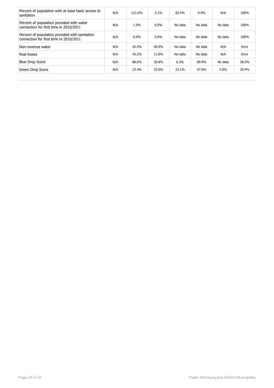| Percent of population with at least basic access to<br>sanitation                        | N/A | 121.6%  | 2.1%    | 83.4%   | 9.9%    | N/A     | 100%  |
|------------------------------------------------------------------------------------------|-----|---------|---------|---------|---------|---------|-------|
| Percent of population provided with water<br>connection for first time in 2010/2011      | N/A | 1.5%    | 0.0%    | No data | No data | No data | 100%  |
| Percent of population provided with sanitation<br>connection for first time in 2010/2011 | N/A | $0.0\%$ | $0.0\%$ | No data | No data | No data | 100%  |
| Non-revenue water                                                                        | N/A | 43.5%   | 48.9%   | No data | No data | N/A     | Error |
| Real losses                                                                              | N/A | 43.2%   | 11.8%   | No data | No data | N/A     | Error |
| <b>Blue Drop Score</b>                                                                   | N/A | 88.6%   | 30.8%   | 6.3%    | 89.9%   | No data | 38.5% |
| Green Drop Score                                                                         | N/A | 23.4%   | 32.0%   | 23.1%   | 67.0%   | 5.0%    | 20.4% |
|                                                                                          |     |         |         |         |         |         |       |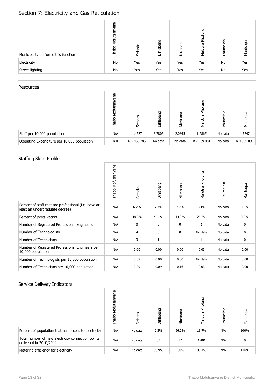## Section 7: Electricity and Gas Reticulation

| Municipality performs this function | Mofutsanyane<br>Thabo | Setsoto | Dihlabeng | Nketoana | Phofung<br>G<br>Maluti | Phumelela | Mantsopa |
|-------------------------------------|-----------------------|---------|-----------|----------|------------------------|-----------|----------|
| Electricity                         | No                    | Yes     | Yes       | Yes      | Yes                    | No        | Yes      |
| Street lighting                     | No                    | Yes     | Yes       | Yes      | Yes                    | No        | Yes      |

#### Resources

|                                             | Φ<br>능<br>utsa<br>Mofi<br>Thab | Setsoto     | 5<br>Dihlabe | Nketoana | Phofung<br>ω<br>Maluti | Phumelela | Mantsopa    |
|---------------------------------------------|--------------------------------|-------------|--------------|----------|------------------------|-----------|-------------|
| Staff per 10,000 population                 | N/A                            | 1.4587      | 3.7805       | 2.0845   | 1.6865                 | No data   | 1.5247      |
| Operating Expenditure per 10,000 population | R <sub>0</sub>                 | R 5 458 285 | No data      | No data  | R 7 169 081            | No data   | R 4 399 099 |

## Staffing Skills Profile

|                                                                                        | Thabo Mofutsanyane | Setsoto | Dihlabeng    | Nketoana     | Phofung<br>Maluti a | Phumelela | Mantsopa |
|----------------------------------------------------------------------------------------|--------------------|---------|--------------|--------------|---------------------|-----------|----------|
| Percent of staff that are professional (i.e. have at<br>least an undergraduate degree) | N/A                | 6.7%    | 7.3%         | 7.7%         | 3.1%                | No data   | $0.0\%$  |
| Percent of posts vacant                                                                | N/A                | 48.3%   | 45.1%        | 13.3%        | 25.3%               | No data   | $0.0\%$  |
| Number of Registered Professional Engineers                                            | N/A                | 0       | 0            | $\mathbf{0}$ | $\mathbf{1}$        | No data   | 0        |
| Number of Technologists                                                                | N/A                | 4       | 0            | 0            | No data             | No data   | 0        |
| Number of Technicians                                                                  | N/A                | 3       | $\mathbf{1}$ | $\mathbf{1}$ | $\mathbf{1}$        | No data   | 0        |
| Number of Registered Professional Engineers per<br>10,000 population                   | N/A                | 0.00    | 0.00         | 0.00         | 0.03                | No data   | 0.00     |
| Number of Technologists per 10,000 population                                          | N/A                | 0.39    | 0.00         | 0.00         | No data             | No data   | 0.00     |
| Number of Technicians per 10,000 population                                            | N/A                | 0.29    | 0.09         | 0.16         | 0.03                | No data   | 0.00     |

|                                                                             | Mofutsanyane<br>Thabo | Setsoto | Dihlabeng | Nketoana | Phofung<br>g<br>Maluti | Phumelela | Mantsopa |
|-----------------------------------------------------------------------------|-----------------------|---------|-----------|----------|------------------------|-----------|----------|
| Percent of population that has access to electricity                        | N/A                   | No data | 2.3%      | 96.2%    | 18.7%                  | N/A       | 100%     |
| Total number of new electricity connection points<br>delivered in 2010/2011 | N/A                   | No data | 33        | 17       | 1 4 0 1                | N/A       | 0        |
| Metering efficiency for electricity                                         | N/A                   | No data | 98.9%     | 100%     | 89.1%                  | N/A       | Error    |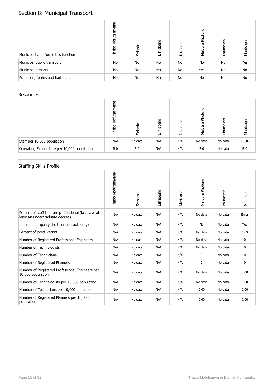# Section 8: Municipal Transport

| Municipality performs this function | Mofutsanyane<br>Thabo | Setsoto | Dihlabeng | Nketoana | Phofung<br>Maluti a | Phumelela | Mantsopa |
|-------------------------------------|-----------------------|---------|-----------|----------|---------------------|-----------|----------|
| Municipal public transport          | <b>No</b>             | No      | No        | No       | No                  | No        | Yes      |
| Municipal airports                  | No                    | No      | No        | No       | Yes                 | No        | No       |
| Pontoons, ferries and harbours      | <b>No</b>             | No      | No        | No       | No                  | No        | No       |

#### **Resources**

|                                             | ane<br>Mofutsa<br>흠<br>亡 | Setsoto        | ஜ<br>Dihlabe | Nketoana | Phofung<br>ā<br>Maluti | umelela<br>훈 | Mantsopa       |
|---------------------------------------------|--------------------------|----------------|--------------|----------|------------------------|--------------|----------------|
| Staff per 10,000 population                 | N/A                      | No data        | N/A          | N/A      | No data                | No data      | 0.0000         |
| Operating Expenditure per 10,000 population | R <sub>0</sub>           | R <sub>0</sub> | N/A          | N/A      | R <sub>0</sub>         | No data      | R <sub>0</sub> |

## Staffing Skills Profile

|                                                                                        | Thabo Mofutsanyane | Setsoto | Dihlabeng | Nketoana | Maluti a Phofung | Phumelela | Mantsopa |
|----------------------------------------------------------------------------------------|--------------------|---------|-----------|----------|------------------|-----------|----------|
| Percent of staff that are professional (i.e. have at<br>least an undergraduate degree) | N/A                | No data | N/A       | N/A      | No data          | No data   | Error    |
| Is this municipality the transport authority?                                          | N/A                | No data | N/A       | N/A      | <b>No</b>        | No data   | Yes      |
| Percent of posts vacant                                                                | N/A                | No data | N/A       | N/A      | No data          | No data   | 7.7%     |
| Number of Registered Professional Engineers                                            | N/A                | No data | N/A       | N/A      | No data          | No data   | 0        |
| Number of Technologists                                                                | N/A                | No data | N/A       | N/A      | No data          | No data   | 0        |
| Number of Technicians                                                                  | N/A                | No data | N/A       | N/A      | 0                | No data   | 0        |
| Number of Registered Planners                                                          | N/A                | No data | N/A       | N/A      | 0                | No data   | 0        |
| Number of Registered Professional Engineers per<br>10,000 population                   | N/A                | No data | N/A       | N/A      | No data          | No data   | 0.00     |
| Number of Technologists per 10,000 population                                          | N/A                | No data | N/A       | N/A      | No data          | No data   | 0.00     |
| Number of Technicians per 10,000 population                                            | N/A                | No data | N/A       | N/A      | 0.00             | No data   | 0.00     |
| Number of Registered Planners per 10,000<br>population                                 | N/A                | No data | N/A       | N/A      | 0.00             | No data   | 0.00     |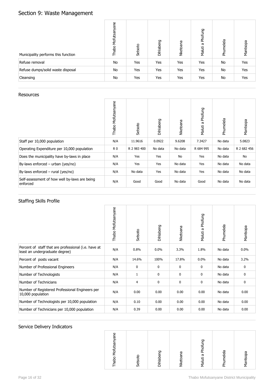# Section 9: Waste Management

| Municipality performs this function | Mofutsanyane<br>Thabo | Setsoto | Dihlabeng | Nketoana | Phofung<br>Maluti a | Phumelela | Mantsopa |
|-------------------------------------|-----------------------|---------|-----------|----------|---------------------|-----------|----------|
| Refuse removal                      | No                    | Yes     | Yes       | Yes      | Yes                 | No        | Yes      |
| Refuse dumps/solid waste disposal   | No                    | Yes     | Yes       | Yes      | Yes                 | No        | Yes      |
| Cleansing                           | No                    | Yes     | Yes       | Yes      | Yes                 | No        | Yes      |

#### **Resources**

|                                                           | Thabo Mofutsanyane | Setsoto     | Dihlabeng | Nketoana | Phofung<br>Maluti a | Phumelela | Mantsopa    |
|-----------------------------------------------------------|--------------------|-------------|-----------|----------|---------------------|-----------|-------------|
| Staff per 10,000 population                               | N/A                | 11.9616     | 0.0922    | 9.6208   | 7.3427              | No data   | 5.0823      |
| Operating Expenditure per 10,000 population               | R0                 | R 2 983 400 | No data   | No data  | R 684 995           | No data   | R 2 682 456 |
| Does the municipality have by-laws in place               | N/A                | Yes         | Yes       | No       | Yes                 | No data   | No          |
| By-laws enforced $-$ urban (yes/no)                       | N/A                | Yes         | Yes       | No data  | Yes                 | No data   | No data     |
| By-laws enforced $-$ rural (yes/no)                       | N/A                | No data     | Yes       | No data  | Yes                 | No data   | No data     |
| Self-assessment of how well by-laws are being<br>enforced | N/A                | Good        | Good      | No data  | Good                | No data   | No data     |

#### Staffing Skills Profile

|                                                                                        | Thabo Mofutsanyane | Setsoto      | Dihlabeng   | Nketoana     | Phofung<br>Maluti a | Phumelela | Mantsopa    |
|----------------------------------------------------------------------------------------|--------------------|--------------|-------------|--------------|---------------------|-----------|-------------|
| Percent of staff that are professional (i.e. have at<br>least an undergraduate degree) | N/A                | 0.8%         | 0.0%        | 3.3%         | 1.8%                | No data   | $0.0\%$     |
| Percent of posts vacant                                                                | N/A                | 14.6%        | 100%        | 17.8%        | 0.0%                | No data   | 3.2%        |
| Number of Professional Engineers                                                       | N/A                | $\mathbf 0$  | 0           | $\mathbf{0}$ | $\mathbf{0}$        | No data   | $\mathbf 0$ |
| Number of Technologists                                                                | N/A                | $\mathbf{1}$ | $\mathbf 0$ | 0            | $\mathbf 0$         | No data   | $\mathbf 0$ |
| Number of Technicians                                                                  | N/A                | 4            | 0           | 0            | $\mathbf 0$         | No data   | 0           |
| Number of Registered Professional Engineers per<br>10,000 population                   | N/A                | 0.00         | 0.00        | 0.00         | 0.00                | No data   | 0.00        |
| Number of Technologists per 10,000 population                                          | N/A                | 0.10         | 0.00        | 0.00         | 0.00                | No data   | 0.00        |
| Number of Technicians per 10,000 population                                            | N/A                | 0.39         | 0.00        | 0.00         | 0.00                | No data   | 0.00        |

| Mofutsanyane<br>Dihlabeng<br>Thabo<br>Setsoto | 50<br>Maluti a Phofu<br>Phumelela<br>Mantsopa<br>Nketoana |
|-----------------------------------------------|-----------------------------------------------------------|
|-----------------------------------------------|-----------------------------------------------------------|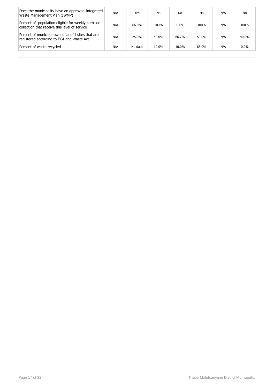| Does the municipality have an approved Integrated<br>Waste Management Plan (IWMP)                   | N/A | Yes     | No    | No    | No    | N/A | No      |
|-----------------------------------------------------------------------------------------------------|-----|---------|-------|-------|-------|-----|---------|
| Percent of population eligible for weekly kerbside<br>collection that receive this level of service | N/A | 66.8%   | 100%  | 100%  | 100%  | N/A | 100%    |
| Percent of municipal-owned landfill sites that are<br>registered according to ECA and Waste Act     | N/A | 25.0%   | 50.0% | 66.7% | 50.0% | N/A | 40.0%   |
| Percent of waste recycled                                                                           | N/A | No data | 10.0% | 10.0% | 65.0% | N/A | $0.0\%$ |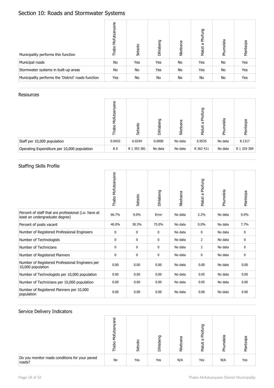# Section 10: Roads and Stormwater Systems

| Municipality performs this function                 | Mofutsanyane<br>Thabo | Setsoto | Dihlabeng | Nketoana | Phofung<br>g<br>Maluti | Phumelela | Mantsopa |
|-----------------------------------------------------|-----------------------|---------|-----------|----------|------------------------|-----------|----------|
| Municipal roads                                     | <b>No</b>             | Yes     | Yes       | No       | Yes                    | No        | Yes      |
| Stormwater systems in built-up areas                | <b>No</b>             | No      | Yes       | No       | Yes                    | No        | Yes      |
| Municipality performs the 'District' roads function | Yes                   | No      | No        | No       | No                     | No        | Yes      |

#### **Resources**

|                                             | مٍ<br>ਨ<br>Mofutsar<br>Thabo | Setsoto     | 5<br>Dihlaber | Nketoana | Phofung<br>æ<br>Maluti | Phumelela | Mantsopa    |
|---------------------------------------------|------------------------------|-------------|---------------|----------|------------------------|-----------|-------------|
| Staff per 10,000 population                 | 0.0432                       | 6.0294      | 0.0000        | No data  | 6.9535                 | No data   | 8.1317      |
| Operating Expenditure per 10,000 population | R <sub>0</sub>               | R 1 393 381 | No data       | No data  | R 362 411              | No data   | R 1 329 369 |

## Staffing Skills Profile

|                                                                                        | Thabo Mofutsanyane | Setsoto | Dihlabeng | Nketoana | Maluti a Phofung | Phumelela | Mantsopa |
|----------------------------------------------------------------------------------------|--------------------|---------|-----------|----------|------------------|-----------|----------|
| Percent of staff that are professional (i.e. have at<br>least an undergraduate degree) | 66.7%              | 0.0%    | Error     | No data  | 2.2%             | No data   | $0.0\%$  |
| Percent of posts vacant                                                                | 40.0%              | 30.3%   | 75.0%     | No data  | 0.0%             | No data   | 7.7%     |
| Number of Registered Professional Engineers                                            | 0                  | 0       | 0         | No data  | 0                | No data   | 0        |
| Number of Technologists                                                                | 0                  | 0       | 0         | No data  | 2                | No data   | 0        |
| Number of Technicians                                                                  | 0                  | 0       | 0         | No data  | $\overline{2}$   | No data   | 0        |
| Number of Registered Planners                                                          | 0                  | 0       | 0         | No data  | 0                | No data   | 0        |
| Number of Registered Professional Engineers per<br>10,000 population                   | 0.00               | 0.00    | 0.00      | No data  | 0.00             | No data   | 0.00     |
| Number of Technologists per 10,000 population                                          | 0.00               | 0.00    | 0.00      | No data  | 0.05             | No data   | 0.00     |
| Number of Technicians per 10,000 population                                            | 0.00               | 0.00    | 0.00      | No data  | 0.05             | No data   | 0.00     |
| Number of Registered Planners per 10,000<br>population                                 | 0.00               | 0.00    | 0.00      | No data  | 0.00             | No data   | 0.00     |

|                                                          | ω<br>σ<br>æ<br>ਠ<br>음 | Setsot | 50<br>Dihlaber | ā<br>ত<br>z | פו<br>듕<br>ᄒ<br>ъ<br>Maluti | melela<br>훈 | Mantsopa |
|----------------------------------------------------------|-----------------------|--------|----------------|-------------|-----------------------------|-------------|----------|
| Do you monitor roads conditions for your paved<br>roads? | No                    | Yes    | Yes            | N/A         | Yes                         | N/A         | Yes      |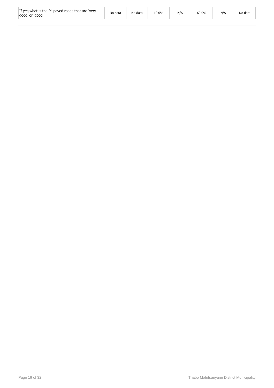| If yes, what is the % paved roads that are 'very<br>qood' or 'good' | No data | No data | 10.0% | N/A | 60.0% | N/A | No data |
|---------------------------------------------------------------------|---------|---------|-------|-----|-------|-----|---------|
|---------------------------------------------------------------------|---------|---------|-------|-----|-------|-----|---------|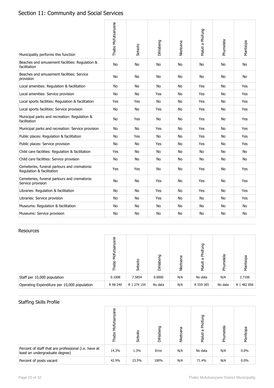# Section 11: Community and Social Services

| Municipality performs this function                                       | Thabo Mofutsanyane | Setsoto   | Dihlabeng | Nketoana  | Maluti a Phofung | Phumelela | Mantsopa   |
|---------------------------------------------------------------------------|--------------------|-----------|-----------|-----------|------------------|-----------|------------|
| Beaches and amusement facilities: Regulation &<br>facilitation            | <b>No</b>          | No        | No        | No        | No               | No        | No         |
| Beaches and amusement facilities: Service<br>provision                    | <b>No</b>          | No        | No        | <b>No</b> | No               | No        | No         |
| Local amenities: Regulation & facilitation                                | No                 | No        | No        | <b>No</b> | Yes              | No        | Yes        |
| Local amenities: Service provision                                        | No                 | No        | Yes       | No        | Yes              | No        | Yes        |
| Local sports facilities: Regulation & facilitation                        | Yes                | Yes       | No        | No        | Yes              | No        | Yes        |
| Local sports facilities: Service provision                                | No.                | No.       | Yes       | No.       | Yes              | No.       | Yes        |
| Municipal parks and recreation: Regulation &<br>facilitation              | No                 | Yes       | No        | No        | Yes              | No        | Yes        |
| Municipal parks and recreation: Service provision                         | No                 | No        | Yes       | <b>No</b> | Yes              | No        | Yes        |
| Public places: Regulation & facilitation                                  | No                 | Yes       | No        | No        | Yes              | No        | Yes        |
| Public places: Service provision                                          | No.                | No        | Yes       | No.       | Yes              | No        | <b>Yes</b> |
| Child care facilities: Regulation & facilitation                          | Yes                | No        | No        | <b>No</b> | <b>No</b>        | No        | <b>No</b>  |
| Child care facilities: Service provision                                  | No                 | No        | No        | <b>No</b> | No               | No        | No         |
| Cemeteries, funeral parlours and crematoria:<br>Regulation & facilitation | Yes                | Yes       | No        | <b>No</b> | Yes              | <b>No</b> | <b>Yes</b> |
| Cemeteries, funeral parlours and crematoria:<br>Service provision         | <b>No</b>          | No        | Yes       | <b>No</b> | Yes              | No        | Yes        |
| Libraries: Regulation & facilitation                                      | <b>No</b>          | <b>No</b> | Yes       | <b>No</b> | Yes              | <b>No</b> | Yes        |
| Libraries: Service provision                                              | No                 | No        | Yes       | <b>No</b> | No               | No        | Yes        |
| Museums: Regulation & facilitation                                        | No                 | No        | No        | No        | No               | No        | No         |
| Museums: Service provision                                                | No                 | No        | No        | No        | No               | No        | No         |

#### Resources

|                                             | فِ<br>ξ<br>Thab<br>E | Setsoto     | Dihlabeng | ā<br>Nketoar | Phofung<br>ā<br>Maluti | Phumelela | Mantsopa    |
|---------------------------------------------|----------------------|-------------|-----------|--------------|------------------------|-----------|-------------|
| Staff per 10,000 population                 | 0.1008               | 7.5854      | 0.0000    | N/A          | No data                | N/A       | 2.7106      |
| Operating Expenditure per 10,000 population | R 98 240             | R 1 274 154 | No data   | N/A          | R 559 365              | No data   | R 1 482 856 |

## Staffing Skills Profile

|                                                                                        | ane<br>у<br>Б<br>Thabo | Setsoto | Dihlabeng | Nketoana | Phofung<br>ā<br>Maluti | Phumelela | Mantsopa |
|----------------------------------------------------------------------------------------|------------------------|---------|-----------|----------|------------------------|-----------|----------|
| Percent of staff that are professional (i.e. have at<br>least an undergraduate degree) | 14.3%                  | 1.3%    | Error     | N/A      | No data                | N/A       | $0.0\%$  |
| Percent of posts vacant                                                                | 42.9%                  | 23.5%   | 100%      | N/A      | 71.4%                  | N/A       | 0.0%     |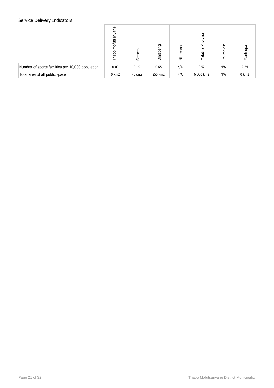|                                                   | ρg<br>ಹ<br>Mofutsa<br>Thabo | Setsoto | Dihlabeng | Nketoana | Phofung<br>G<br>Maluti | Phumelela | Mantsopa |
|---------------------------------------------------|-----------------------------|---------|-----------|----------|------------------------|-----------|----------|
| Number of sports facilities per 10,000 population | 0.00                        | 0.49    | 0.65      | N/A      | 0.52                   | N/A       | 2.54     |
| Total area of all public space                    | $0 \text{ km}2$             | No data | 250 km2   | N/A      | 6 000 km2              | N/A       | 0 km2    |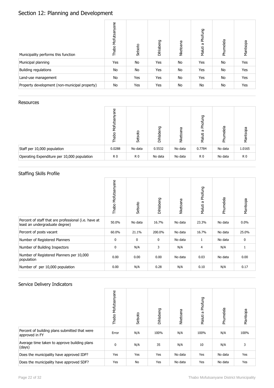# Section 12: Planning and Development

| Municipality performs this function           | Mofutsanyane<br>Thabo | Setsoto | Dihlabeng | Nketoana | Phofung<br>Maluti a | Phumelela | Mantsopa |
|-----------------------------------------------|-----------------------|---------|-----------|----------|---------------------|-----------|----------|
| Municipal planning                            | Yes                   | No      | Yes       | No       | Yes                 | No        | Yes      |
| Building regulations                          | No                    | No      | Yes       | No       | Yes                 | No        | Yes      |
| Land-use management                           | No                    | Yes     | Yes       | No       | Yes                 | No        | Yes      |
| Property development (non-municipal property) | No                    | Yes     | Yes       | No       | No                  | No        | Yes      |

#### Resources

|                                             | ω<br>55<br>λ<br>Σ<br>흠 | Setsoto        | ሮ<br>Dihlabe | ā<br><b>Nketoa</b> | Phofung<br>æ<br>Maluti | melela<br>훈 | Mantsopa       |
|---------------------------------------------|------------------------|----------------|--------------|--------------------|------------------------|-------------|----------------|
| Staff per 10,000 population                 | 0.0288                 | No data        | 0.5532       | No data            | 0.7784                 | No data     | 1.0165         |
| Operating Expenditure per 10,000 population | R <sub>0</sub>         | R <sub>0</sub> | No data      | No data            | R <sub>0</sub>         | No data     | R <sub>0</sub> |

### Staffing Skills Profile

|                                                                                        | Thabo Mofutsanyane | Setsoto     | Dihlabeng | Nketoana | Phofung<br>Maluti a | Phumelela | Mantsopa |
|----------------------------------------------------------------------------------------|--------------------|-------------|-----------|----------|---------------------|-----------|----------|
| Percent of staff that are professional (i.e. have at<br>least an undergraduate degree) | 50.0%              | No data     | 16.7%     | No data  | 23.3%               | No data   | $0.0\%$  |
| Percent of posts vacant                                                                | 60.0%              | 21.1%       | 200.0%    | No data  | 16.7%               | No data   | 25.0%    |
| Number of Registered Planners                                                          | $\bf{0}$           | $\mathbf 0$ | 0         | No data  | $\mathbf{1}$        | No data   | 0        |
| Number of Building Inspectors                                                          | $\bf{0}$           | N/A         | 3         | N/A      | 4                   | N/A       | 1        |
| Number of Registered Planners per 10,000<br>population                                 | 0.00               | 0.00        | 0.00      | No data  | 0.03                | No data   | 0.00     |
| Number of per 10,000 population                                                        | 0.00               | N/A         | 0.28      | N/A      | 0.10                | N/A       | 0.17     |

|                                                                 | Thabo Mofutsanyane | Setsoto   | Dihlabeng | Nketoana | Phofung<br>ā<br>Maluti | Phumelela | Mantsopa |
|-----------------------------------------------------------------|--------------------|-----------|-----------|----------|------------------------|-----------|----------|
| Percent of building plans submitted that were<br>approved in FY | Error              | N/A       | 100%      | N/A      | 100%                   | N/A       | 100%     |
| Average time taken to approve building plans<br>(days)          | $\mathbf 0$        | N/A       | 35        | N/A      | 10                     | N/A       | 3        |
| Does the municipality have approved IDP?                        | Yes                | Yes       | Yes       | No data  | Yes                    | No data   | Yes      |
| Does the municipality have approved SDF?                        | Yes                | <b>No</b> | Yes       | No data  | Yes                    | No data   | Yes      |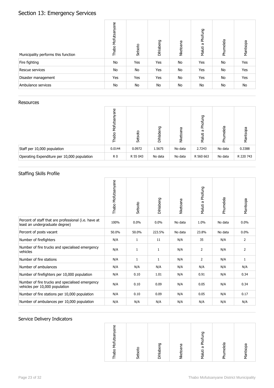# Section 13: Emergency Services

| Municipality performs this function | Mofutsanyane<br>Thabo | Setsoto | Dihlabeng | Nketoana | Phofung<br>Maluti a | Phumelela | Mantsopa |
|-------------------------------------|-----------------------|---------|-----------|----------|---------------------|-----------|----------|
| Fire fighting                       | No                    | Yes     | Yes       | No       | Yes                 | No        | Yes      |
| Rescue services                     | No                    | No      | Yes       | No       | Yes                 | No        | Yes      |
| Disaster management                 | Yes                   | Yes     | Yes       | No       | Yes                 | No        | Yes      |
| Ambulance services                  | No                    | No      | No        | No       | No                  | No        | No       |

#### Resources

|                                             | ω<br>λ<br>Σ<br>흠 | Setsoto  | ዎ<br>Dihlaber | ā<br><b>Nketoa</b> | Phofung<br>æ<br>Maluti | melela<br>훈 | Mantsopa  |
|---------------------------------------------|------------------|----------|---------------|--------------------|------------------------|-------------|-----------|
| Staff per 10,000 population                 | 0.0144           | 0.0972   | 1.5675        | No data            | 2.7243                 | No data     | 0.3388    |
| Operating Expenditure per 10,000 population | R <sub>0</sub>   | R 55 043 | No data       | No data            | R 560 663              | No data     | R 220 743 |

### Staffing Skills Profile

|                                                                                        | Thabo Mofutsanyane | Setsoto      | Dihlabeng    | Nketoana | Maluti a Phofung | Phumelela | Mantsopa       |
|----------------------------------------------------------------------------------------|--------------------|--------------|--------------|----------|------------------|-----------|----------------|
| Percent of staff that are professional (i.e. have at<br>least an undergraduate degree) | 100%               | 0.0%         | 0.0%         | No data  | 1.0%             | No data   | $0.0\%$        |
| Percent of posts vacant                                                                | 50.0%              | 50.0%        | 223.5%       | No data  | 23.8%            | No data   | $0.0\%$        |
| Number of firefighters                                                                 | N/A                | $\mathbf{1}$ | 11           | N/A      | 35               | N/A       | $\overline{2}$ |
| Number of fire trucks and specialised emergency<br>vehicles                            | N/A                | $\mathbf{1}$ | $\mathbf{1}$ | N/A      | $\overline{2}$   | N/A       | $\overline{2}$ |
| Number of fire stations                                                                | N/A                | $\mathbf{1}$ | 1            | N/A      | 2                | N/A       | $\mathbf{1}$   |
| Number of ambulances                                                                   | N/A                | N/A          | N/A          | N/A      | N/A              | N/A       | N/A            |
| Number of firefighters per 10,000 population                                           | N/A                | 0.10         | 1.01         | N/A      | 0.91             | N/A       | 0.34           |
| Number of fire trucks and specialised emergency<br>vehicles per 10,000 population      | N/A                | 0.10         | 0.09         | N/A      | 0.05             | N/A       | 0.34           |
| Number of fire stations per 10,000 population                                          | N/A                | 0.10         | 0.09         | N/A      | 0.05             | N/A       | 0.17           |
| Number of ambulances per 10,000 population                                             | N/A                | N/A          | N/A          | N/A      | N/A              | N/A       | N/A            |

| ۹<br>Mofutsanya<br>Thabo | р<br>Setsot | Dihlabeng | ketoana | ዎ<br>Maluti a Phof | Phumelela | Mantsopa |
|--------------------------|-------------|-----------|---------|--------------------|-----------|----------|
|                          |             |           | z       |                    |           |          |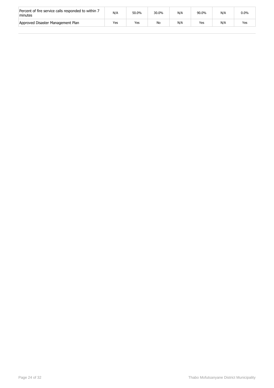| Percent of fire service calls responded to within 7<br>minutes | N/A | 50.0% | 30.0% | N/A | 90.0% | N/A | $0.0\%$ |
|----------------------------------------------------------------|-----|-------|-------|-----|-------|-----|---------|
| Approved Disaster Management Plan                              | Yes | Yes   | No    | N/A | Yes   | N/A | Yes     |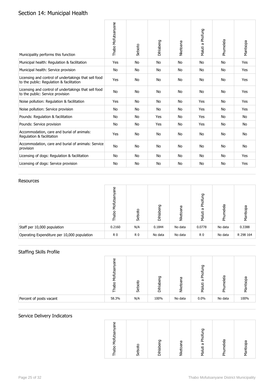## Section 14: Municipal Health

| Municipality performs this function                                                              | Thabo Mofutsanyane | Setsoto   | Dihlabeng | Nketoana  | Maluti a Phofung | Phumelela | Mantsopa |
|--------------------------------------------------------------------------------------------------|--------------------|-----------|-----------|-----------|------------------|-----------|----------|
| Municipal health: Regulation & facilitation                                                      | Yes                | <b>No</b> | <b>No</b> | <b>No</b> | <b>No</b>        | <b>No</b> | Yes      |
| Municipal health: Service provision                                                              | No                 | No        | No        | No        | No               | No        | Yes      |
| Licensing and control of undertakings that sell food<br>to the public: Regulation & facilitation | Yes                | No        | No        | <b>No</b> | <b>No</b>        | No        | Yes      |
| Licensing and control of undertakings that sell food<br>to the public: Service provision         | No                 | No        | No        | <b>No</b> | No               | No        | Yes      |
| Noise pollution: Regulation & facilitation                                                       | Yes                | No        | No        | No        | Yes              | No        | Yes      |
| Noise pollution: Service provision                                                               | No                 | No        | No        | <b>No</b> | Yes              | No        | Yes      |
| Pounds: Regulation & facilitation                                                                | No                 | No        | Yes       | <b>No</b> | Yes              | No        | No       |
| Pounds: Service provision                                                                        | No                 | No        | Yes       | <b>No</b> | Yes              | No        | No       |
| Accommodation, care and burial of animals:<br>Regulation & facilitation                          | Yes                | No        | No        | <b>No</b> | <b>No</b>        | <b>No</b> | No       |
| Accommodation, care and burial of animals: Service<br>provision                                  | No                 | No        | No        | <b>No</b> | No               | No        | No       |
| Licensing of dogs: Regulation & facilitation                                                     | No                 | No        | No        | No        | No               | No        | Yes      |
| Licensing of dogs: Service provision                                                             | No                 | No        | No        | No        | No               | No        | Yes      |

#### Resources

|                                             | Φ<br>Mofutsa<br>Thabo | Setsoto        | Dihlabeng | Nketoana | Phofung<br>æ<br>Maluti | Phumelela | Mantsopa  |
|---------------------------------------------|-----------------------|----------------|-----------|----------|------------------------|-----------|-----------|
| Staff per 10,000 population                 | 0.2160                | N/A            | 0.1844    | No data  | 0.0778                 | No data   | 0.3388    |
| Operating Expenditure per 10,000 population | R <sub>0</sub>        | R <sub>0</sub> | No data   | No data  | R <sub>0</sub>         | No data   | R 298 164 |

## Staffing Skills Profile

|                         | ω<br>ത<br>ශි<br>у<br>Кр<br>Яã | Setsoto | פַ<br>Dihlab | ω<br><b>Nketoa</b> | ng<br>E<br><b>Phofi</b><br>ā<br>Maluti | umelela<br>ᅕ | Mantsopa |
|-------------------------|-------------------------------|---------|--------------|--------------------|----------------------------------------|--------------|----------|
| Percent of posts vacant | 58.3%                         | N/A     | 100%         | No data            | 0.0%                                   | No data      | 100%     |

| Mofutsanyane<br>Thabo | Setsoto | Dihlabeng | ത<br>ēo<br>Nket | ጋ<br>Phofi<br>$\boldsymbol{\varpi}$<br>Maluti | nelela | Mantsopa |
|-----------------------|---------|-----------|-----------------|-----------------------------------------------|--------|----------|
|                       |         |           |                 |                                               | 훈      |          |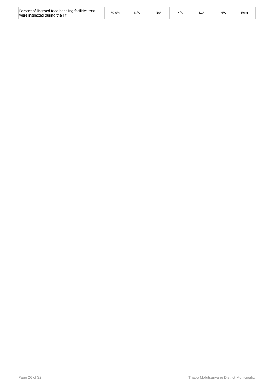| Percent of licensed food handling facilities that<br>were inspected during the FY | 50.0% | N/A | N/A | N/A | N/P | N/ | Error |
|-----------------------------------------------------------------------------------|-------|-----|-----|-----|-----|----|-------|
|-----------------------------------------------------------------------------------|-------|-----|-----|-----|-----|----|-------|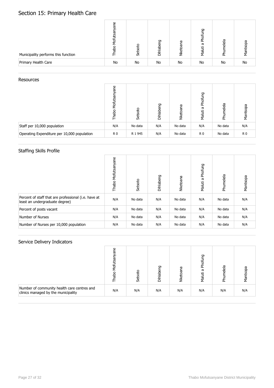## Section 15: Primary Health Care

| Municipality performs this function | Φ<br>ᢛ<br>ies<br>Моfi<br>oqei | Setsoto | 50<br>Dihlaber | ၉၅<br><b>Nketoa</b> | Phofung<br>Б<br>Maluti | Phumelela | Mantsopa |
|-------------------------------------|-------------------------------|---------|----------------|---------------------|------------------------|-----------|----------|
| Primary Health Care                 | No                            | No      | No             | <b>No</b>           | No                     | No        | No       |

#### **Resources**

|                                             | ane<br>Mofutsa<br>oqer | Setsoto | Dihlabeng | ā<br>Nketoar | Phofung<br>Б<br>Maluti | Phumelela | Mantsopa       |
|---------------------------------------------|------------------------|---------|-----------|--------------|------------------------|-----------|----------------|
| Staff per 10,000 population                 | N/A                    | No data | N/A       | No data      | N/A                    | No data   | N/A            |
| Operating Expenditure per 10,000 population | R <sub>0</sub>         | R 1 945 | N/A       | No data      | R <sub>0</sub>         | No data   | R <sub>0</sub> |

## Staffing Skills Profile

|                                                                                        | Mofutsanyane<br>Thabo <sup>1</sup> | Setsoto | Dihlabeng | Nketoana | Phofung<br>Maluti a | Phumelela | Mantsopa |
|----------------------------------------------------------------------------------------|------------------------------------|---------|-----------|----------|---------------------|-----------|----------|
| Percent of staff that are professional (i.e. have at<br>least an undergraduate degree) | N/A                                | No data | N/A       | No data  | N/A                 | No data   | N/A      |
| Percent of posts vacant                                                                | N/A                                | No data | N/A       | No data  | N/A                 | No data   | N/A      |
| Number of Nurses                                                                       | N/A                                | No data | N/A       | No data  | N/A                 | No data   | N/A      |
| Number of Nurses per 10,000 population                                                 | N/A                                | No data | N/A       | No data  | N/A                 | No data   | N/A      |

|                                                                                    | ω<br>Σá<br>응 | Setsoto | Dihlabeng | Nketoana | Phofung<br>ā<br>Maluti | umelela<br>훈 | pa<br>Mant |
|------------------------------------------------------------------------------------|--------------|---------|-----------|----------|------------------------|--------------|------------|
| Number of community health care centres and<br>clinics managed by the municipality | N/A          | N/A     | N/A       | N/A      | N/A                    | N/A          | N/A        |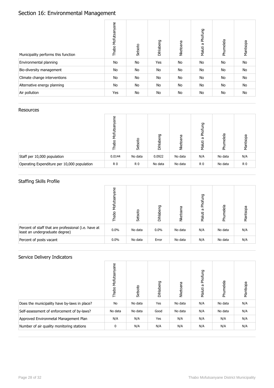# Section 16: Environmental Management

| Municipality performs this function | Mofutsanyane<br>Thabo | Setsoto | Dihlabeng | Nketoana  | Phofung<br>Maluti a | Phumelela | Mantsopa |
|-------------------------------------|-----------------------|---------|-----------|-----------|---------------------|-----------|----------|
| Environmental planning              | <b>No</b>             | No      | Yes       | <b>No</b> | No                  | No        | No       |
| Bio-diversity management            | <b>No</b>             | No      | No        | <b>No</b> | No                  | No        | No       |
| Climate change interventions        | No                    | No      | No        | No        | No                  | No        | No       |
| Alternative energy planning         | No                    | No      | No        | <b>No</b> | No                  | No        | No       |
| Air pollution                       | Yes                   | No      | No        | No        | No                  | No        | No       |

#### **Resources**

|                                             | ane<br>Mofutsa<br>Thabo | Setsoto        | Dihlabeng | ā<br><b>Nketoa</b> | Phofung<br>ω<br>Maluti | Phumelela | Mantsopa       |
|---------------------------------------------|-------------------------|----------------|-----------|--------------------|------------------------|-----------|----------------|
| Staff per 10,000 population                 | 0.0144                  | No data        | 0.0922    | No data            | N/A                    | No data   | N/A            |
| Operating Expenditure per 10,000 population | R <sub>0</sub>          | R <sub>0</sub> | No data   | No data            | R <sub>0</sub>         | No data   | R <sub>0</sub> |

## Staffing Skills Profile

|                                                                                        | ane<br>Mofutsar<br>Thabo | Setsoto | Dihlabeng | Nketoana | Phofung<br>ā<br>Maluti | Phumelela | Mantsopa |
|----------------------------------------------------------------------------------------|--------------------------|---------|-----------|----------|------------------------|-----------|----------|
| Percent of staff that are professional (i.e. have at<br>least an undergraduate degree) | $0.0\%$                  | No data | $0.0\%$   | No data  | N/A                    | No data   | N/A      |
| Percent of posts vacant                                                                | $0.0\%$                  | No data | Error     | No data  | N/A                    | No data   | N/A      |

|                                              | Mofutsanyane<br>Thabo | Setsoto | Dihlabeng | Nketoana | Phofung<br>Maluti a | Phumelela | Mantsopa |
|----------------------------------------------|-----------------------|---------|-----------|----------|---------------------|-----------|----------|
| Does the municipality have by-laws in place? | No                    | No data | Yes       | No data  | N/A                 | No data   | N/A      |
| Self-assessment of enforcement of by-laws?   | No data               | No data | Good      | No data  | N/A                 | No data   | N/A      |
| Approved Environmetal Management Plan        | N/A                   | N/A     | Yes       | N/A      | N/A                 | N/A       | N/A      |
| Number of air quality monitoring stations    | 0                     | N/A     | N/A       | N/A      | N/A                 | N/A       | N/A      |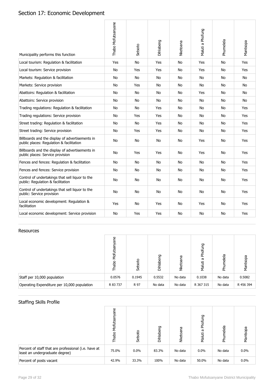# Section 17: Economic Development

| Municipality performs this function                                                         | Thabo Mofutsanyane | Setsoto   | Dihlabeng | Nketoana  | Maluti a Phofung | Phumelela | Mantsopa |
|---------------------------------------------------------------------------------------------|--------------------|-----------|-----------|-----------|------------------|-----------|----------|
| Local tourism: Regulation & facilitation                                                    | Yes                | No        | Yes       | <b>No</b> | Yes              | <b>No</b> | Yes      |
| Local tourism: Service provision                                                            | No                 | Yes       | Yes       | No        | Yes              | No        | Yes      |
| Markets: Regulation & facilitation                                                          | No                 | No        | No        | No        | No               | No        | No       |
| Markets: Service provision                                                                  | No                 | Yes       | No        | No        | No               | No        | No       |
| Abattoirs: Regulation & facilitation                                                        | No                 | No        | No        | No        | Yes              | No        | No       |
| Abattoirs: Service provision                                                                | No                 | No        | No        | No        | No               | No        | No       |
| Trading regulations: Regulation & facilitation                                              | No                 | <b>No</b> | Yes       | No        | <b>No</b>        | No        | Yes      |
| Trading regulations: Service provision                                                      | No                 | Yes       | Yes       | No        | No               | No        | Yes      |
| Street trading: Regulation & facilitation                                                   | No                 | No        | Yes       | No        | No               | No        | Yes      |
| Street trading: Service provision                                                           | <b>No</b>          | Yes       | Yes       | <b>No</b> | <b>No</b>        | <b>No</b> | Yes      |
| Billboards and the display of advertisements in<br>public places: Regulation & facilitation | No                 | No        | No        | <b>No</b> | Yes              | No        | Yes      |
| Billboards and the display of advertisements in<br>public places: Service provision         | No                 | Yes       | Yes       | No        | Yes              | No        | Yes      |
| Fences and fences: Regulation & facilitation                                                | <b>No</b>          | No        | No        | No        | No               | No        | Yes      |
| Fences and fences: Service provision                                                        | No                 | No        | No        | <b>No</b> | No               | No        | Yes      |
| Control of undertakings that sell liquor to the<br>public: Regulation & facilitation        | <b>No</b>          | No        | No        | <b>No</b> | No               | No        | Yes      |
| Control of undertakings that sell liquor to the<br>public: Service provision                | <b>No</b>          | No        | No        | <b>No</b> | <b>No</b>        | No        | Yes      |
| Local economic development: Regulation &<br>facilitation                                    | Yes                | No        | Yes       | <b>No</b> | Yes              | No        | Yes      |
| Local economic development: Service provision                                               | No                 | Yes       | Yes       | No        | No               | No        | Yes      |

#### Resources

|                                             | ane<br>ξ<br>oqet | Setsoto | Dihlabeng | ā<br>Nketoa | Phofung<br>ā<br>Maluti | Phumelela | Mantsopa  |
|---------------------------------------------|------------------|---------|-----------|-------------|------------------------|-----------|-----------|
| Staff per 10,000 population                 | 0.0576           | 0.1945  | 0.5532    | No data     | 0.1038                 | No data   | 0.5082    |
| Operating Expenditure per 10,000 population | R 83 737         | R 97    | No data   | No data     | R 367 315              | No data   | R 456 394 |

## Staffing Skills Profile

|                                                                                        | ane<br>Mofi<br>Thabo | Setsoto | Dihlabeng | Nketoana | Phofung<br>ā<br>Maluti | Phumelela | Mantsopa |
|----------------------------------------------------------------------------------------|----------------------|---------|-----------|----------|------------------------|-----------|----------|
| Percent of staff that are professional (i.e. have at<br>least an undergraduate degree) | 75.0%                | $0.0\%$ | 83.3%     | No data  | $0.0\%$                | No data   | $0.0\%$  |
| Percent of posts vacant                                                                | 42.9%                | 33.3%   | 100%      | No data  | 50.0%                  | No data   | $0.0\%$  |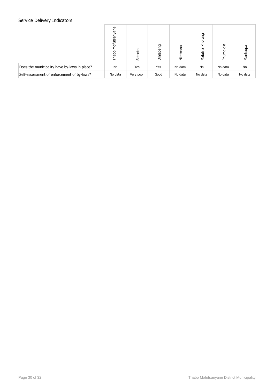|                                              | ane<br>Mofutsa<br>Thabo | Setsoto   | Dihlabeng | Nketoana | Phofung<br>Б<br>Maluti | Phumelela | Mantsopa |
|----------------------------------------------|-------------------------|-----------|-----------|----------|------------------------|-----------|----------|
| Does the municipality have by-laws in place? | No                      | Yes       | Yes       | No data  | No                     | No data   | No       |
| Self-assessment of enforcement of by-laws?   | No data                 | Very poor | Good      | No data  | No data                | No data   | No data  |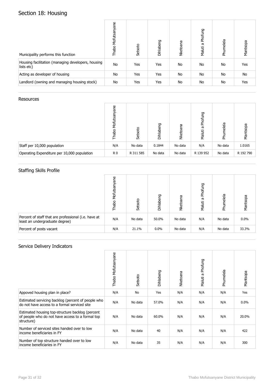# Section 18: Housing

| Municipality performs this function                              | Mofutsanyane<br>Thabo | Setsoto | Dihlabeng | Nketoana  | Phofung<br>Maluti a | Phumelela | Mantsopa |
|------------------------------------------------------------------|-----------------------|---------|-----------|-----------|---------------------|-----------|----------|
| Housing facilitation (managing developers, housing<br>lists etc) | No                    | Yes     | Yes       | <b>No</b> | No                  | No        | Yes      |
| Acting as developer of housing                                   | No                    | Yes     | Yes       | <b>No</b> | No                  | No        | No       |
| Landlord (owning and managing housing stock)                     | No                    | Yes     | Yes       | <b>No</b> | No                  | No        | Yes      |

#### Resources

|                                             | Φ<br>త్వే<br>ξ<br>Thabo | Setsoto   | Dihlabeng | ā<br>Nketoa | Phofung<br>ā<br>Maluti | umelela<br>훈 | Mantsopa  |
|---------------------------------------------|-------------------------|-----------|-----------|-------------|------------------------|--------------|-----------|
| Staff per 10,000 population                 | N/A                     | No data   | 0.1844    | No data     | N/A                    | No data      | 1.0165    |
| Operating Expenditure per 10,000 population | R <sub>0</sub>          | R 311 585 | No data   | No data     | R 139 952              | No data      | R 192 790 |

## Staffing Skills Profile

|                                                                                        | ane<br>Mofutsa<br>Thabo | Setsoto | Dihlabeng | Nketoana | Phofung<br>Б<br>Maluti | Phumelela | Mantsopa |
|----------------------------------------------------------------------------------------|-------------------------|---------|-----------|----------|------------------------|-----------|----------|
| Percent of staff that are professional (i.e. have at<br>least an undergraduate degree) | N/A                     | No data | 50.0%     | No data  | N/A                    | No data   | $0.0\%$  |
| Percent of posts vacant                                                                | N/A                     | 21.1%   | $0.0\%$   | No data  | N/A                    | No data   | 33.3%    |

|                                                                                                                    | Thabo Mofutsanyane | Setsoto   | Dihlabeng | Nketoana | Phofung<br>Maluti a | Phumelela | Mantsopa |
|--------------------------------------------------------------------------------------------------------------------|--------------------|-----------|-----------|----------|---------------------|-----------|----------|
| Appoved housing plan in place?                                                                                     | N/A                | <b>No</b> | Yes       | N/A      | N/A                 | N/A       | Yes      |
| Estimated servicing backlog (percent of people who<br>do not have access to a formal serviced site                 | N/A                | No data   | 57.0%     | N/A      | N/A                 | N/A       | $0.0\%$  |
| Estimated housing top-structure backlog (percent<br>of people who do not have access to a formal top<br>structure) | N/A                | No data   | 60.0%     | N/A      | N/A                 | N/A       | 20.0%    |
| Number of serviced sites handed over to low<br>income beneficiaries in FY                                          | N/A                | No data   | 40        | N/A      | N/A                 | N/A       | 422      |
| Number of top structure handed over to low<br>income beneficiaries in FY                                           | N/A                | No data   | 35        | N/A      | N/A                 | N/A       | 300      |